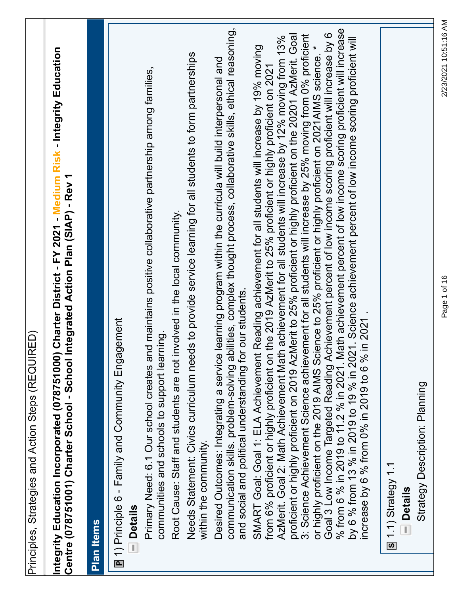| Integrity Education Incorporated (078751000) Charter District - FY 2021 Medium Risk Integrity Education<br>Principles, Strategies and Action Steps (REQUIRED)                                                                                                                                                                                  |  |
|------------------------------------------------------------------------------------------------------------------------------------------------------------------------------------------------------------------------------------------------------------------------------------------------------------------------------------------------|--|
| Integrated Action Plan (SIAP) - Rev 1<br>Centre (078751001) Charter School - School<br><b>Plan Items</b>                                                                                                                                                                                                                                       |  |
|                                                                                                                                                                                                                                                                                                                                                |  |
| ■ 1) Principle 6 - Family and Community Engagement<br>$\blacksquare$ Details                                                                                                                                                                                                                                                                   |  |
| ind maintains positive collaborative partnership among families,<br>communities and schools to support learning.<br>Primary Need: 6.1 Our school creates a                                                                                                                                                                                     |  |
| Root Cause: Staff and students are not involved in the local community.                                                                                                                                                                                                                                                                        |  |
| Needs Statement: Civics curriculum needs to provide service learning for all students to form partnerships<br>within the community.                                                                                                                                                                                                            |  |
| communication skills. problem-solving abilities, complex thought process, collaborative skills, ethical reasoning,<br>Desired Outcomes: Integrating a service learning program within the curricula will build interpersonal and<br>and social and political understanding for our students.                                                   |  |
| AzMerit. Goal 2: Math Achievement Math achievement for all students will increase by 12% moving from 13%<br>SMART Goal: Goal 1: ELA Achievement Reading achievement for all students will increase by 19% moving<br>from 6% proficient or highly proficient on the 2019 AzMerit to 25% proficient or highly proficient on 2021                 |  |
| proficient or highly proficient on 2019 AzMerit to 25% proficient or highly proficient on the 20201 AzMerit. Goal<br>3: Science Achievement Science achievement for all students will increase by 25% moving from 0% proficient<br>or highly proficient on the 2019 AIMS Science to 25% proficient or highly proficient on 2021AIMS science. * |  |
| Goal 3 Low Income Targeted Reading Achievement percent of low income scoring proficient will increase by 6                                                                                                                                                                                                                                     |  |
| Math achievement percent of low income scoring proficient will increase<br>by 6 % from 13 % in 2019 to 19 % in 2021. Science achievement percent of low income scoring proficient will<br>increase by 6 % from 0% in 2019 to 6 % in 2021.<br>% from 6 % in 2019 to 11.2 % in 2021.                                                             |  |
| $\boxed{5}$ 1.1) Strategy 1.1                                                                                                                                                                                                                                                                                                                  |  |
| Strategy Description: Planning<br><b>Details</b>                                                                                                                                                                                                                                                                                               |  |

Page 1 of 16 2/23/2021 10:51:16 AM

Page 1 of 16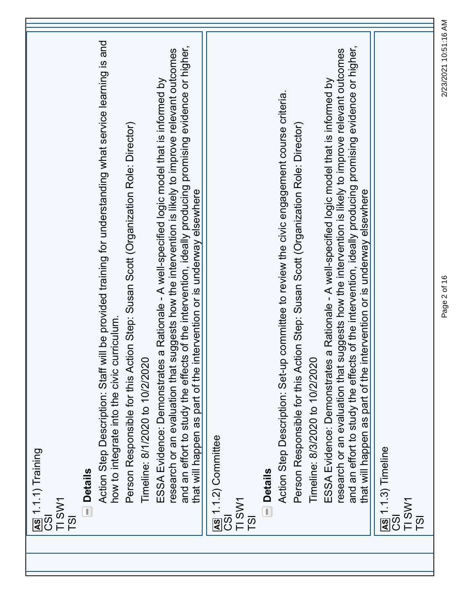| how to integrate into the civic curriculum<br>Timeline: 8/1/2020 to 10/2/2020<br>research or an evaluation that su<br>Timeline: 8/3/2020 to 10/2/2020<br>ESSA Evidence: Demonstrates<br>Action Step Description: Set-up<br><b>AS</b> 1.1.2) Committee<br>CSI<br><b>AS</b> 1.1.1) Training<br>CSI<br><b>Details</b><br><b>Details</b><br>TI SW1<br>TI SW1<br>$\overline{5}$<br>$\overline{5}$ | Action Step Description: Staff will be provided training for understanding what service learning is and<br>Person Responsible for this Action Step: Susan Scott (Organization Role: Director)                                                                                                                                                             |
|----------------------------------------------------------------------------------------------------------------------------------------------------------------------------------------------------------------------------------------------------------------------------------------------------------------------------------------------------------------------------------------------|-----------------------------------------------------------------------------------------------------------------------------------------------------------------------------------------------------------------------------------------------------------------------------------------------------------------------------------------------------------|
|                                                                                                                                                                                                                                                                                                                                                                                              |                                                                                                                                                                                                                                                                                                                                                           |
|                                                                                                                                                                                                                                                                                                                                                                                              |                                                                                                                                                                                                                                                                                                                                                           |
|                                                                                                                                                                                                                                                                                                                                                                                              |                                                                                                                                                                                                                                                                                                                                                           |
|                                                                                                                                                                                                                                                                                                                                                                                              |                                                                                                                                                                                                                                                                                                                                                           |
|                                                                                                                                                                                                                                                                                                                                                                                              | and an effort to study the effects of the intervention, ideally producing promising evidence or higher,<br>uggests how the intervention is likely to improve relevant outcomes<br>a Rationale - A well-specified logic model that is informed by<br>that will happen as part of the intervention or is underway elsewhere                                 |
|                                                                                                                                                                                                                                                                                                                                                                                              |                                                                                                                                                                                                                                                                                                                                                           |
|                                                                                                                                                                                                                                                                                                                                                                                              |                                                                                                                                                                                                                                                                                                                                                           |
|                                                                                                                                                                                                                                                                                                                                                                                              | committee to review the civic engagement course criteria.                                                                                                                                                                                                                                                                                                 |
|                                                                                                                                                                                                                                                                                                                                                                                              | Person Responsible for this Action Step: Susan Scott (Organization Role: Director)                                                                                                                                                                                                                                                                        |
| ESSA Evidence: Demonstrates                                                                                                                                                                                                                                                                                                                                                                  | and an effort to study the effects of the intervention, ideally producing promising evidence or higher,<br>research or an evaluation that suggests how the intervention is likely to improve relevant outcomes<br>a Rationale - A well-specified logic model that is informed by<br>that will happen as part of the intervention or is underway elsewhere |
| As 1.1.3) Timeline<br><b>SC</b>                                                                                                                                                                                                                                                                                                                                                              |                                                                                                                                                                                                                                                                                                                                                           |
| TI SW1<br>T <sub>S</sub> I                                                                                                                                                                                                                                                                                                                                                                   |                                                                                                                                                                                                                                                                                                                                                           |

Page 2 of 16 2/23/2021 10:51:16 AM

Page 2 of 16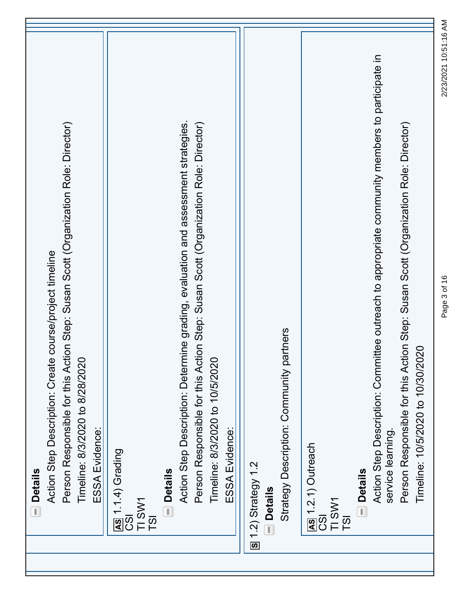| <b>Details</b>                                                                                                     |
|--------------------------------------------------------------------------------------------------------------------|
| course/project timeline<br>Action Step Description: Create                                                         |
| Person Responsible for this Action Step: Susan Scott (Organization Role: Director)                                 |
| Timeline: 8/3/2020 to 8/28/2020                                                                                    |
| ESSA Evidence:                                                                                                     |
| As 1.1.4) Grading                                                                                                  |
| <b>ISO</b>                                                                                                         |
| TI SW1                                                                                                             |
| TSI                                                                                                                |
| <b>Details</b>                                                                                                     |
| Action Step Description: Determine grading, evaluation and assessment strategies.                                  |
| Person Responsible for this Action Step: Susan Scott (Organization Role: Director)                                 |
| Timeline: 8/3/2020 to 10/5/2020                                                                                    |
| ESSA Evidence:                                                                                                     |
|                                                                                                                    |
| <b>8</b> 1.2) Strategy 1.2                                                                                         |
| <b>Details</b>                                                                                                     |
| thers<br>Strategy Description: Community par                                                                       |
|                                                                                                                    |
| <b>AS</b> 1.2.1) Outreach<br>CSI                                                                                   |
| TI SW1                                                                                                             |
| TSI                                                                                                                |
| <b>Details</b>                                                                                                     |
| Action Step Description: Committee outreach to appropriate community members to participate in<br>service learning |
| Person Responsible for this Action Step: Susan Scott (Organization Role: Director)                                 |
| Timeline: 10/5/2020 to 10/30/2020                                                                                  |
|                                                                                                                    |

Page 3 of 16 2/23/2021 10:51:16 AM

Page 3 of 16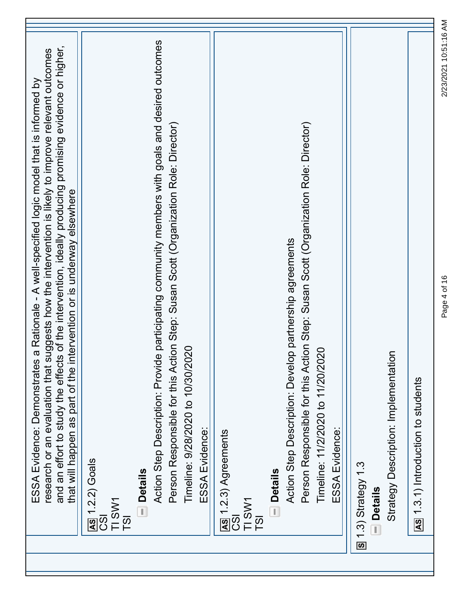| and an effort to study the effects of the intervention, ideally producing promising evidence or higher,<br>research or an evaluation that suggests how the intervention is likely to improve relevant outcomes<br>ESSA Evidence: Demonstrates a Rationale - A well-specified logic model that is informed by<br>ervention or is underway elsewhere<br>that will happen as part of the int |
|-------------------------------------------------------------------------------------------------------------------------------------------------------------------------------------------------------------------------------------------------------------------------------------------------------------------------------------------------------------------------------------------|
| $\frac{ \overline{AS} }{ CS }$ 1.2.2) Goals<br>I SW1<br>TSI                                                                                                                                                                                                                                                                                                                               |
| participating community members with goals and desired outcomes<br>Action Step Description: Provide<br><b>Details</b>                                                                                                                                                                                                                                                                     |
| Person Responsible for this Action Step: Susan Scott (Organization Role: Director)<br>Timeline: 9/28/2020 to 10/30/2020                                                                                                                                                                                                                                                                   |
| ESSA Evidence:                                                                                                                                                                                                                                                                                                                                                                            |
| $\boxed{AS}$ 1.2.3) Agreements                                                                                                                                                                                                                                                                                                                                                            |
| TI SW1<br>$\overline{3}$<br>TSI                                                                                                                                                                                                                                                                                                                                                           |
| <b>Details</b>                                                                                                                                                                                                                                                                                                                                                                            |
| Action Step Description: Develop partnership agreements                                                                                                                                                                                                                                                                                                                                   |
| Person Responsible for this Action Step: Susan Scott (Organization Role: Director)<br>Timeline: 11/2/2020 to 11/20/2020                                                                                                                                                                                                                                                                   |
| ESSA Evidence:                                                                                                                                                                                                                                                                                                                                                                            |
| $\overline{S}$ 1.3) Strategy 1.3                                                                                                                                                                                                                                                                                                                                                          |
| <b>Details</b>                                                                                                                                                                                                                                                                                                                                                                            |
| Strategy Description: Implementation                                                                                                                                                                                                                                                                                                                                                      |
| [AS] 1.3.1) Introduction to students                                                                                                                                                                                                                                                                                                                                                      |
| 2/23/2021 10:51:16 AM<br>Page 4 of 16                                                                                                                                                                                                                                                                                                                                                     |

r

Page 4 of 16 2/23/2021 10:51:16 AM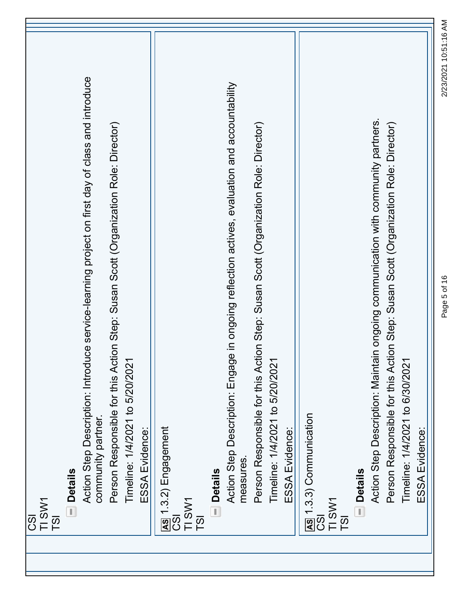| T <sub>S</sub> I                                                                                                      |  |
|-----------------------------------------------------------------------------------------------------------------------|--|
| - Details                                                                                                             |  |
| Action Step Description: Introduce service-learning project on first day of class and introduce<br>community partner. |  |
| Person Responsible for this Action Step: Susan Scott (Organization Role: Director)                                    |  |
| Timeline: 1/4/2021 to 5/20/2021                                                                                       |  |
| ESSA Evidence:                                                                                                        |  |
| As 1.3.2) Engagement                                                                                                  |  |
| TI SW1<br>$\overline{c}$<br>T <sub>S</sub>                                                                            |  |
| <b>Details</b>                                                                                                        |  |
| Action Step Description: Engage in ongoing reflection actives, evaluation and accountability<br>measures.             |  |
| ion Step: Susan Scott (Organization Role: Director)<br>Person Responsible for this Acti                               |  |
| Timeline: 1/4/2021 to 5/20/2021                                                                                       |  |
| ESSA Evidence:                                                                                                        |  |
| <b>AS</b> 1.3.3) Communication<br>CSI                                                                                 |  |
| TI SW1<br>$\overline{S}$                                                                                              |  |
| <b>Details</b>                                                                                                        |  |
| Action Step Description: Maintain ongoing communication with community partners.                                      |  |
| Person Responsible for this Action Step: Susan Scott (Organization Role: Director)                                    |  |
| Timeline: 1/4/2021 to 6/30/2021                                                                                       |  |
| ESSA Evidence:                                                                                                        |  |

Page 5 of 16 2/23/2021 10:51:16 AM

Page 5 of 16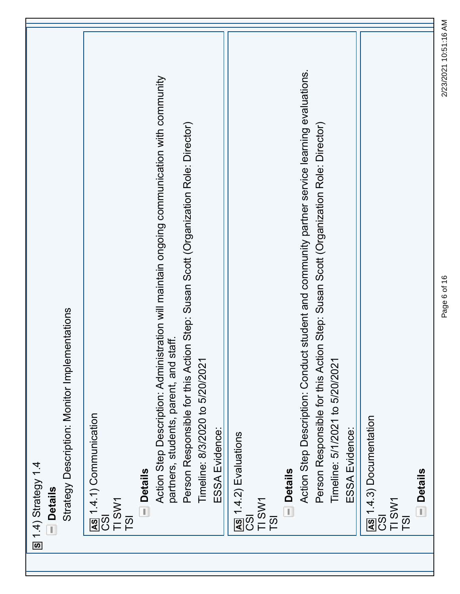| <b>S</b> 1.4) Strategy 1.4<br><b>Details</b>                                                                                        |
|-------------------------------------------------------------------------------------------------------------------------------------|
| Strategy Description: Monitor Implementations                                                                                       |
| <b>AS</b> 1.4.1) Communication<br>CSI<br>TI SW1<br>TSI                                                                              |
| <b>Details</b>                                                                                                                      |
| Action Step Description: Administration will maintain ongoing communication with community<br>partners, students, parent, and staff |
| Person Responsible for this Action Step: Susan Scott (Organization Role: Director)                                                  |
| Timeline: 8/3/2020 to 5/20/2021                                                                                                     |
| ESSA Evidence:                                                                                                                      |
| As 1.4.2) Evaluations<br>CSI                                                                                                        |
| TI SW1                                                                                                                              |
| TSI                                                                                                                                 |
| <b>Details</b>                                                                                                                      |
| Action Step Description: Conduct student and community partner service learning evaluations.                                        |
| Person Responsible for this Action Step: Susan Scott (Organization Role: Director)                                                  |
| Timeline: 5/1/2021 to 5/20/2021                                                                                                     |
| ESSA Evidence:                                                                                                                      |
| <b>AS</b> 1.4.3) Documentation<br>CSI                                                                                               |
| TI SW1                                                                                                                              |
| TSI                                                                                                                                 |
| <b>Details</b>                                                                                                                      |
| 2/23/2021 10:51:16 AM<br>Page 6 of 16                                                                                               |

Page 6 of 16 2/23/2021 10:51:16 AM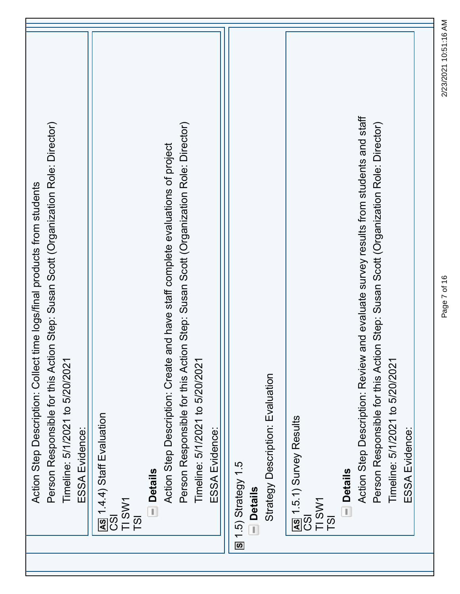| and evaluate survey results from students and staff<br>ion Step: Susan Scott (Organization Role: Director)<br>on Step: Susan Scott (Organization Role: Director)<br>and have staff complete evaluations of project<br>Action Step Description: Create<br>Person Responsible for this Acti<br>Action Step Description: Review<br>Person Responsible for this Acti<br>Timeline: 5/1/2021 to 5/20/2021<br>Timeline: 5/1/2021 to 5/20/2021<br>Timeline: 5/1/2021 to 5/20/2021<br>Strategy Description: Evaluation<br>AS 1.4.4) Staff Evaluation<br>AS 1.5.1) Survey Results<br>ESSA Evidence:<br>ESSA Evidence:<br>ESSA Evidence:<br>$\overline{S}$ 1.5) Strategy 1.5<br><b>Details</b><br><b>Details</b><br><b>Details</b><br>TI SW1<br>I SW1<br>$\overline{3}$<br><b>GSI</b><br>$\overline{5}$<br>i<br>ST<br>F | time logs/final products from students<br>Action Step Description: Collect              |
|--------------------------------------------------------------------------------------------------------------------------------------------------------------------------------------------------------------------------------------------------------------------------------------------------------------------------------------------------------------------------------------------------------------------------------------------------------------------------------------------------------------------------------------------------------------------------------------------------------------------------------------------------------------------------------------------------------------------------------------------------------------------------------------------------------------|-----------------------------------------------------------------------------------------|
|                                                                                                                                                                                                                                                                                                                                                                                                                                                                                                                                                                                                                                                                                                                                                                                                              | ion Step: Susan Scott (Organization Role: Director)<br>Person Responsible for this Acti |
|                                                                                                                                                                                                                                                                                                                                                                                                                                                                                                                                                                                                                                                                                                                                                                                                              |                                                                                         |
|                                                                                                                                                                                                                                                                                                                                                                                                                                                                                                                                                                                                                                                                                                                                                                                                              |                                                                                         |
|                                                                                                                                                                                                                                                                                                                                                                                                                                                                                                                                                                                                                                                                                                                                                                                                              |                                                                                         |
|                                                                                                                                                                                                                                                                                                                                                                                                                                                                                                                                                                                                                                                                                                                                                                                                              |                                                                                         |
|                                                                                                                                                                                                                                                                                                                                                                                                                                                                                                                                                                                                                                                                                                                                                                                                              |                                                                                         |
|                                                                                                                                                                                                                                                                                                                                                                                                                                                                                                                                                                                                                                                                                                                                                                                                              |                                                                                         |
|                                                                                                                                                                                                                                                                                                                                                                                                                                                                                                                                                                                                                                                                                                                                                                                                              |                                                                                         |
|                                                                                                                                                                                                                                                                                                                                                                                                                                                                                                                                                                                                                                                                                                                                                                                                              |                                                                                         |
|                                                                                                                                                                                                                                                                                                                                                                                                                                                                                                                                                                                                                                                                                                                                                                                                              |                                                                                         |
|                                                                                                                                                                                                                                                                                                                                                                                                                                                                                                                                                                                                                                                                                                                                                                                                              |                                                                                         |
|                                                                                                                                                                                                                                                                                                                                                                                                                                                                                                                                                                                                                                                                                                                                                                                                              |                                                                                         |
|                                                                                                                                                                                                                                                                                                                                                                                                                                                                                                                                                                                                                                                                                                                                                                                                              |                                                                                         |
|                                                                                                                                                                                                                                                                                                                                                                                                                                                                                                                                                                                                                                                                                                                                                                                                              |                                                                                         |
|                                                                                                                                                                                                                                                                                                                                                                                                                                                                                                                                                                                                                                                                                                                                                                                                              |                                                                                         |
|                                                                                                                                                                                                                                                                                                                                                                                                                                                                                                                                                                                                                                                                                                                                                                                                              |                                                                                         |
|                                                                                                                                                                                                                                                                                                                                                                                                                                                                                                                                                                                                                                                                                                                                                                                                              |                                                                                         |
|                                                                                                                                                                                                                                                                                                                                                                                                                                                                                                                                                                                                                                                                                                                                                                                                              |                                                                                         |
|                                                                                                                                                                                                                                                                                                                                                                                                                                                                                                                                                                                                                                                                                                                                                                                                              |                                                                                         |

2/23/2021 10:51:16 AM Page 7 of 16 2/23/2021 10:51:16 AM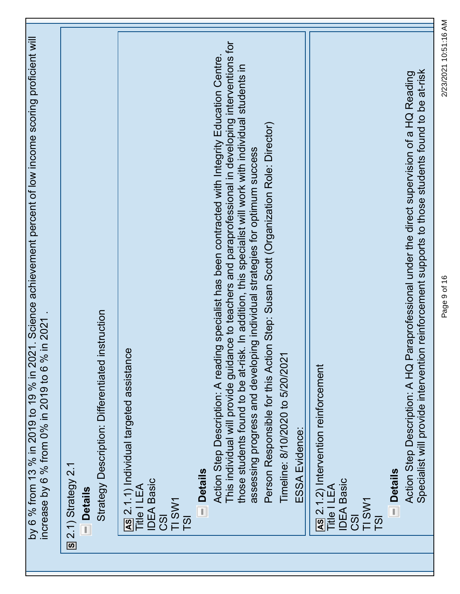| by 6 % from 13 % in 2019 to 19 % in 2021. Science achievement percent of low income scoring proficient will<br>increase by 6 % from 0% in 2019 to 6 % in 2021 .<br>instruction<br>Strategy Description: Differentiated<br>$\S$ 2.1) Strategy 2.1<br><b>Details</b> | AS 2.1.1) Individual targeted assistance<br><b>IDEA Basic</b><br>Title I LEA<br>TI SW1<br>$\overline{S}$<br>TSI | This individual will provide guidance to teachers and paraprofessional in developing interventions for<br>Action Step Description: A reading specialist has been contracted with Integrity Education Centre.<br>those students found to be at-risk. In addition, this specialist will work with individual students in<br>Person Responsible for this Action Step: Susan Scott (Organization Role: Director)<br>assessing progress and developing individual strategies for optimum success<br>Timeline: 8/10/2020 to 5/20/202<br>ESSA Evidence:<br><b>Details</b> | Specialist will provide intervention reinforcement supports to those students found to be at-risk<br>Action Step Description: A HQ Paraprofessional under the direct supervision of a HQ Reading<br><b>AS</b> 2.1.2) Intervention reinforcement<br><b>Details</b><br><b>IDEA Basic</b><br>Title I LEA<br>I SW1<br>$\overline{3}$<br>$\overline{15}$ |
|--------------------------------------------------------------------------------------------------------------------------------------------------------------------------------------------------------------------------------------------------------------------|-----------------------------------------------------------------------------------------------------------------|--------------------------------------------------------------------------------------------------------------------------------------------------------------------------------------------------------------------------------------------------------------------------------------------------------------------------------------------------------------------------------------------------------------------------------------------------------------------------------------------------------------------------------------------------------------------|-----------------------------------------------------------------------------------------------------------------------------------------------------------------------------------------------------------------------------------------------------------------------------------------------------------------------------------------------------|
|--------------------------------------------------------------------------------------------------------------------------------------------------------------------------------------------------------------------------------------------------------------------|-----------------------------------------------------------------------------------------------------------------|--------------------------------------------------------------------------------------------------------------------------------------------------------------------------------------------------------------------------------------------------------------------------------------------------------------------------------------------------------------------------------------------------------------------------------------------------------------------------------------------------------------------------------------------------------------------|-----------------------------------------------------------------------------------------------------------------------------------------------------------------------------------------------------------------------------------------------------------------------------------------------------------------------------------------------------|

Page 9 of 16 2/23/2021 10:51:16 AM

Page 9 of 16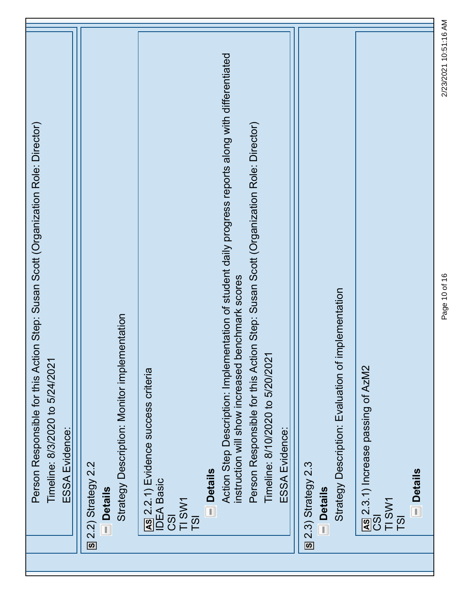| ion Step: Susan Scott (Organization Role: Director)<br>Person Responsible for this Acti<br>Timeline: 8/3/2020 to 5/24/2021<br>ESSA Evidence:                                                                                                                                                                         |  |
|----------------------------------------------------------------------------------------------------------------------------------------------------------------------------------------------------------------------------------------------------------------------------------------------------------------------|--|
| Strategy Description: Monitor implementation<br><b>S</b> 2.2) Strategy 2.2<br><b>Details</b>                                                                                                                                                                                                                         |  |
| AS 2.2.1) Evidence success criteria<br><b>IDEA Basic</b><br>TI SW1<br>$\overline{3}$<br>$\overline{5}$                                                                                                                                                                                                               |  |
| Action Step Description: Implementation of student daily progress reports along with differentiated<br>Person Responsible for this Action Step: Susan Scott (Organization Role: Director)<br>instruction will show increased benchmark scores<br>Timeline: 8/10/2020 to 5/20/202<br>ESSA Evidence:<br><b>Details</b> |  |
| implementation<br>Strategy Description: Evaluation of<br>$\S$ 2.3) Strategy 2.3<br><b>Details</b>                                                                                                                                                                                                                    |  |
| [AS] 2.3.1) Increase passing of AzM2<br><b>Details</b><br>TI SW1<br>$\overline{3}$<br>T <sub>S</sub> I                                                                                                                                                                                                               |  |

2/23/2021 10:51:16 AM Page 10 of 16 2/23/2021 10:51:16 AM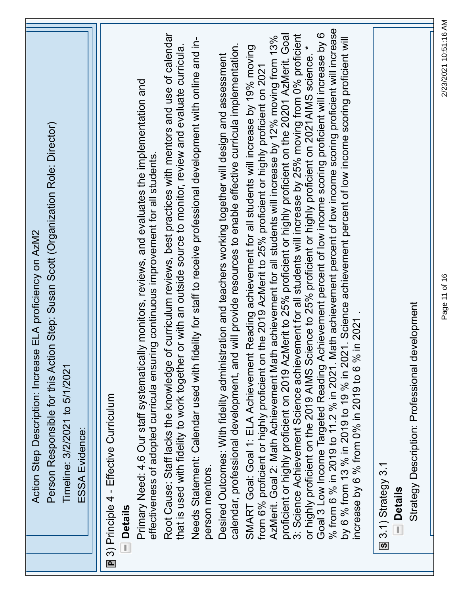| Person Responsible for this Action Step: Susan Scott (Organization Role: Director)<br>Action Step Description: Increase ELA proficiency on AzM2<br>Timeline: 3/2/2021 to 5/1/2021<br>ESSA Evidence:                                                                                                                                                                                                                                                                                                                                                                                                                                                                                                                                                                                                                                                                                                                                                                                                                                                                                                                                                                                                                                                                                                                                                                                                                                                                                                                                                                                                                                                                                                                                                                                                                                                                                                                                               |                       |
|---------------------------------------------------------------------------------------------------------------------------------------------------------------------------------------------------------------------------------------------------------------------------------------------------------------------------------------------------------------------------------------------------------------------------------------------------------------------------------------------------------------------------------------------------------------------------------------------------------------------------------------------------------------------------------------------------------------------------------------------------------------------------------------------------------------------------------------------------------------------------------------------------------------------------------------------------------------------------------------------------------------------------------------------------------------------------------------------------------------------------------------------------------------------------------------------------------------------------------------------------------------------------------------------------------------------------------------------------------------------------------------------------------------------------------------------------------------------------------------------------------------------------------------------------------------------------------------------------------------------------------------------------------------------------------------------------------------------------------------------------------------------------------------------------------------------------------------------------------------------------------------------------------------------------------------------------|-----------------------|
| % from 6 % in 2019 to 11.2 % in 2021. Math achievement percent of low income scoring proficient will increase<br>Root Cause: Staff lacks the knowledge of curriculum reviews, best practices with mentors and use of calendar<br>Goal 3 Low Income Targeted Reading Achievement percent of low income scoring proficient will increase by 6<br>proficient or highly proficient on 2019 AzMerit to 25% proficient or highly proficient on the 20201 AzMerit. Goal<br>3: Science Achievement Science achievement for all students will increase by 25% moving from 0% proficient<br>AzMerit. Goal 2: Math Achievement Math achievement for all students will increase by 12% moving from 13%<br>by 6 % from 13 % in 2019 to 19 % in 2021. Science achievement percent of low income scoring proficient will<br>increase by 6 % from 0% in 2019 to 6 % in 2021.<br>Needs Statement: Calendar used with fidelity for staff to receive professional development with online and in-<br>will provide resources to enable effective curricula implementation.<br>that is used with fidelity to work together or with an outside source to monitor, review and evaluate curricula.<br>Reading achievement for all students will increase by 19% moving<br>Desired Outcomes: With fidelity administration and teachers working together will design and assessment<br>or highly proficient on the 2019 AIMS Science to 25% proficient or highly proficient on 2021AIMS science.<br>the 2019 AzMerit to 25% proficient or highly proficient on 2021<br>Primary Need: 4.6 Our staff systematically monitors, reviews, and evaluates the implementation and<br>effectiveness of adopted curricula ensuring continuous improvement for all students<br>calendar, professional development, and<br>SMART Goal: Goal 1: ELA Achievement<br>from 6% proficient or highly proficient on<br>■ 3) Principle 4 - Effective Curriculum<br>person mentors.<br>- Details |                       |
| Strategy Description: Professional development<br><b>S</b> 3.1) Strategy 3.1<br><b>Details</b>                                                                                                                                                                                                                                                                                                                                                                                                                                                                                                                                                                                                                                                                                                                                                                                                                                                                                                                                                                                                                                                                                                                                                                                                                                                                                                                                                                                                                                                                                                                                                                                                                                                                                                                                                                                                                                                    |                       |
| Page 11 of 16                                                                                                                                                                                                                                                                                                                                                                                                                                                                                                                                                                                                                                                                                                                                                                                                                                                                                                                                                                                                                                                                                                                                                                                                                                                                                                                                                                                                                                                                                                                                                                                                                                                                                                                                                                                                                                                                                                                                     | 2/23/2021 10:51:16 AM |

Page 11 of 16 2/23/2021 10:51:16 AM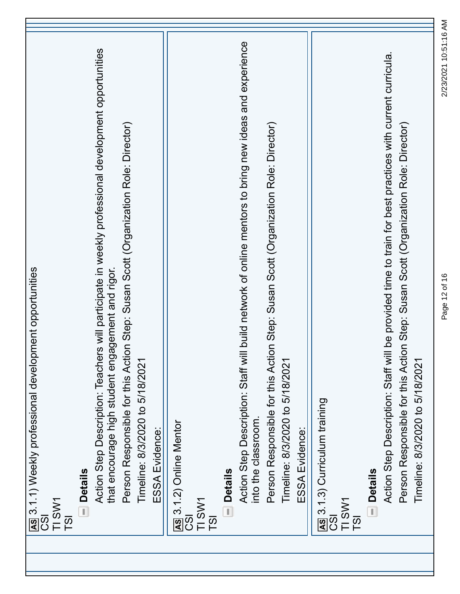| AS 3.1.1) Weekly professional development opportunities<br>$\overline{3}$                                                                                |
|----------------------------------------------------------------------------------------------------------------------------------------------------------|
| I SW1<br>$\overline{15}$                                                                                                                                 |
| - Details                                                                                                                                                |
| Action Step Description: Teachers will participate in weekly professional development opportunities<br>that encourage high student engagement and rigor. |
| Person Responsible for this Action Step: Susan Scott (Organization Role: Director)                                                                       |
| Timeline: 8/3/2020 to 5/18/2021<br>ESSA Evidence:                                                                                                        |
| AS 3.1.2) Online Mentor                                                                                                                                  |
| I SW1<br>$\overline{c}$                                                                                                                                  |
| $\overline{5}$                                                                                                                                           |
| <b>Details</b>                                                                                                                                           |
| Action Step Description: Staff will build network of online mentors to bring new ideas and experience<br>into the classroom                              |
| Person Responsible for this Action Step: Susan Scott (Organization Role: Director)                                                                       |
| Timeline: 8/3/2020 to 5/18/2021                                                                                                                          |
| ESSA Evidence:                                                                                                                                           |
| AS 3.1.3) Curriculum training<br>$\overline{c}$                                                                                                          |
| SW1<br>TSI                                                                                                                                               |
| <b>Details</b>                                                                                                                                           |
| Action Step Description: Staff will be provided time to train for best practices with current curricula.                                                 |
| Person Responsible for this Action Step: Susan Scott (Organization Role: Director)                                                                       |
| Timeline: 8/3/2020 to 5/18/2021                                                                                                                          |

Page 12 of 16 2/23/2021 10:51:16 AM

Page 12 of 16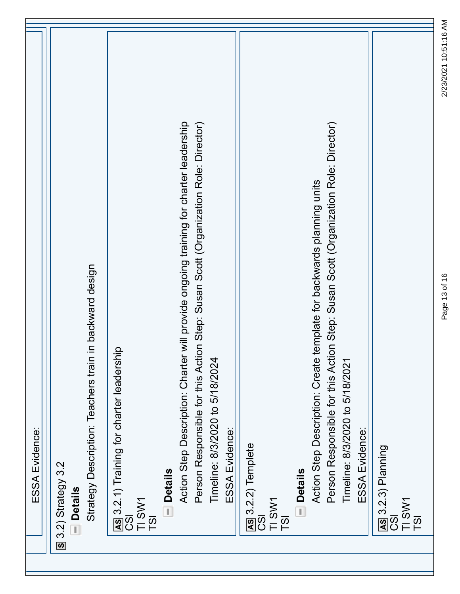| ESSA Evidence:                                                                                             |                       |
|------------------------------------------------------------------------------------------------------------|-----------------------|
| in backward design<br>Strategy Description: Teachers train<br><b>8</b> 3.2) Strategy 3.2<br><b>Details</b> |                       |
| <b>AS</b> 3.2.1) Training for charter leadership<br>CSI                                                    |                       |
| TI SW1                                                                                                     |                       |
| T <sub>S</sub> I                                                                                           |                       |
| <b>Details</b>                                                                                             |                       |
| will provide ongoing training for charter leadership<br>Action Step Description: Charter                   |                       |
| Person Responsible for this Action Step: Susan Scott (Organization Role: Director)                         |                       |
| Timeline: 8/3/2020 to 5/18/2024                                                                            |                       |
| ESSA Evidence:                                                                                             |                       |
| <b>AS</b> 3.2.2) Templete<br>CSI                                                                           |                       |
|                                                                                                            |                       |
| TI SW1<br>TSI                                                                                              |                       |
| <b>Details</b>                                                                                             |                       |
| template for backwards planning units<br>Action Step Description: Create                                   |                       |
| Person Responsible for this Action Step: Susan Scott (Organization Role: Director)                         |                       |
| Timeline: 8/3/2020 to 5/18/2021                                                                            |                       |
| ESSA Evidence:                                                                                             |                       |
| AS 3.2.3) Planning<br>CSI                                                                                  |                       |
|                                                                                                            |                       |
| TI SW1<br>T <sub>S</sub> I                                                                                 |                       |
| Page 13 of 16                                                                                              | 2/23/2021 10:51:16 AM |
|                                                                                                            |                       |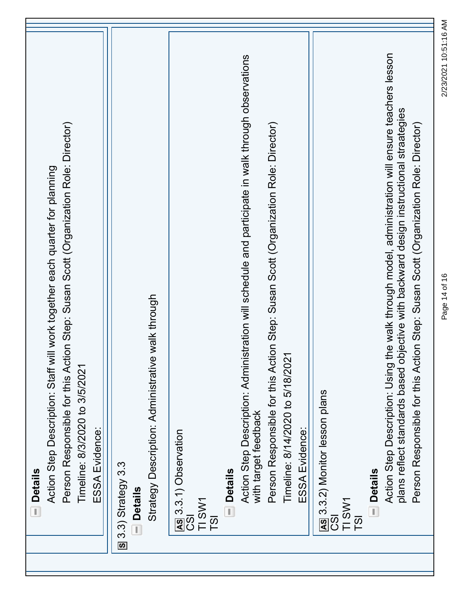| Action Step Description: Using the walk through model, administration will ensure teachers lesson<br>Action Step Description: Administration will schedule and participate in walk through observations<br>plans reflect standards based objective with backward design instructional straategies<br>Person Responsible for this Action Step: Susan Scott (Organization Role: Director)<br>Person Responsible for this Action Step: Susan Scott (Organization Role: Director)<br>Person Responsible for this Action Step: Susan Scott (Organization Role: Director)<br>Action Step Description: Staff will work together each quarter for planning<br>Strategy Description: Administrative walk through<br>Timeline: 8/14/2020 to 5/18/2021<br>Timeline: 8/3/2020 to 3/5/2021<br>AS 3.3.2) Monitor lesson plans<br>with target feedback<br>ESSA Evidence:<br>ESSA Evidence:<br>As 3.3.1) Observation<br>S 3.3) Strategy 3.3<br><b>Details</b><br><b>Details</b><br><b>Details</b><br>TI SW1<br>I SW1<br>Ţ<br>$\overline{3}$<br>$\overline{\text{S}}$<br>$\overline{1}$ SI<br>T <sub>S</sub> I<br>╒ | <b>Details</b> |
|----------------------------------------------------------------------------------------------------------------------------------------------------------------------------------------------------------------------------------------------------------------------------------------------------------------------------------------------------------------------------------------------------------------------------------------------------------------------------------------------------------------------------------------------------------------------------------------------------------------------------------------------------------------------------------------------------------------------------------------------------------------------------------------------------------------------------------------------------------------------------------------------------------------------------------------------------------------------------------------------------------------------------------------------------------------------------------------------------|----------------|
|                                                                                                                                                                                                                                                                                                                                                                                                                                                                                                                                                                                                                                                                                                                                                                                                                                                                                                                                                                                                                                                                                                    |                |
|                                                                                                                                                                                                                                                                                                                                                                                                                                                                                                                                                                                                                                                                                                                                                                                                                                                                                                                                                                                                                                                                                                    |                |
|                                                                                                                                                                                                                                                                                                                                                                                                                                                                                                                                                                                                                                                                                                                                                                                                                                                                                                                                                                                                                                                                                                    |                |
|                                                                                                                                                                                                                                                                                                                                                                                                                                                                                                                                                                                                                                                                                                                                                                                                                                                                                                                                                                                                                                                                                                    |                |
|                                                                                                                                                                                                                                                                                                                                                                                                                                                                                                                                                                                                                                                                                                                                                                                                                                                                                                                                                                                                                                                                                                    |                |
|                                                                                                                                                                                                                                                                                                                                                                                                                                                                                                                                                                                                                                                                                                                                                                                                                                                                                                                                                                                                                                                                                                    |                |
|                                                                                                                                                                                                                                                                                                                                                                                                                                                                                                                                                                                                                                                                                                                                                                                                                                                                                                                                                                                                                                                                                                    |                |
|                                                                                                                                                                                                                                                                                                                                                                                                                                                                                                                                                                                                                                                                                                                                                                                                                                                                                                                                                                                                                                                                                                    |                |
|                                                                                                                                                                                                                                                                                                                                                                                                                                                                                                                                                                                                                                                                                                                                                                                                                                                                                                                                                                                                                                                                                                    |                |
|                                                                                                                                                                                                                                                                                                                                                                                                                                                                                                                                                                                                                                                                                                                                                                                                                                                                                                                                                                                                                                                                                                    |                |
|                                                                                                                                                                                                                                                                                                                                                                                                                                                                                                                                                                                                                                                                                                                                                                                                                                                                                                                                                                                                                                                                                                    |                |
|                                                                                                                                                                                                                                                                                                                                                                                                                                                                                                                                                                                                                                                                                                                                                                                                                                                                                                                                                                                                                                                                                                    |                |
|                                                                                                                                                                                                                                                                                                                                                                                                                                                                                                                                                                                                                                                                                                                                                                                                                                                                                                                                                                                                                                                                                                    |                |
|                                                                                                                                                                                                                                                                                                                                                                                                                                                                                                                                                                                                                                                                                                                                                                                                                                                                                                                                                                                                                                                                                                    |                |
|                                                                                                                                                                                                                                                                                                                                                                                                                                                                                                                                                                                                                                                                                                                                                                                                                                                                                                                                                                                                                                                                                                    |                |
|                                                                                                                                                                                                                                                                                                                                                                                                                                                                                                                                                                                                                                                                                                                                                                                                                                                                                                                                                                                                                                                                                                    |                |
|                                                                                                                                                                                                                                                                                                                                                                                                                                                                                                                                                                                                                                                                                                                                                                                                                                                                                                                                                                                                                                                                                                    |                |
|                                                                                                                                                                                                                                                                                                                                                                                                                                                                                                                                                                                                                                                                                                                                                                                                                                                                                                                                                                                                                                                                                                    |                |
|                                                                                                                                                                                                                                                                                                                                                                                                                                                                                                                                                                                                                                                                                                                                                                                                                                                                                                                                                                                                                                                                                                    |                |
|                                                                                                                                                                                                                                                                                                                                                                                                                                                                                                                                                                                                                                                                                                                                                                                                                                                                                                                                                                                                                                                                                                    |                |
|                                                                                                                                                                                                                                                                                                                                                                                                                                                                                                                                                                                                                                                                                                                                                                                                                                                                                                                                                                                                                                                                                                    |                |
|                                                                                                                                                                                                                                                                                                                                                                                                                                                                                                                                                                                                                                                                                                                                                                                                                                                                                                                                                                                                                                                                                                    |                |

Page 14 of 16 2/23/2021 10:51:16 AM

Page 14 of 16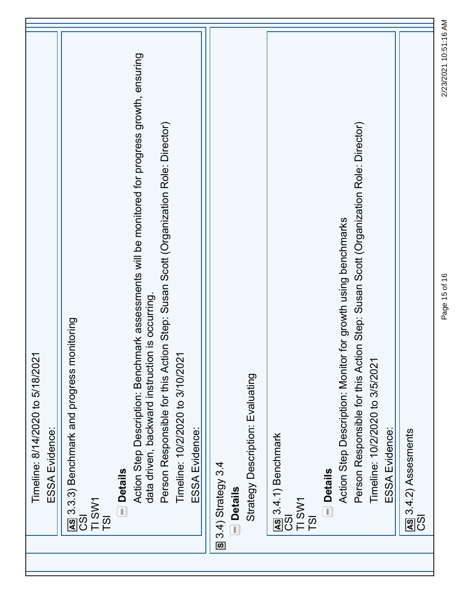| Action Step Description: Benchmark assessments will be monitored for progress growth, ensuring<br>Person Responsible for this Action Step: Susan Scott (Organization Role: Director)<br>Person Responsible for this Action Step: Susan Scott (Organization Role: Director)<br>Action Step Description: Monitor for growth using benchmarks<br>data driven, backward instruction is occurring.<br>As 3.3.3) Benchmark and progress monitoring<br>Timeline: 10/2/2020 to 3/10/2021<br>Timeline: 10/2/2020 to 3/5/2021<br>Strategy Description: Evaluating<br>ESSA Evidence:<br>ESSA Evidence:<br>ESSA Evidence:<br><b>AS</b> 3.4.2) Assesments<br>CSI<br>AS 3.4.1) Benchmark<br>CSI<br><b>S</b> 3.4) Strategy 3.4<br><b>Details</b><br><b>Details</b><br><b>Details</b><br>TI SW1<br>TI SW1<br>50<br>S<br>$\overline{15}$<br>$\overline{5}$ | Timeline: 8/14/2020 to 5/18/2021 |
|-------------------------------------------------------------------------------------------------------------------------------------------------------------------------------------------------------------------------------------------------------------------------------------------------------------------------------------------------------------------------------------------------------------------------------------------------------------------------------------------------------------------------------------------------------------------------------------------------------------------------------------------------------------------------------------------------------------------------------------------------------------------------------------------------------------------------------------------|----------------------------------|
|                                                                                                                                                                                                                                                                                                                                                                                                                                                                                                                                                                                                                                                                                                                                                                                                                                           |                                  |
|                                                                                                                                                                                                                                                                                                                                                                                                                                                                                                                                                                                                                                                                                                                                                                                                                                           |                                  |
|                                                                                                                                                                                                                                                                                                                                                                                                                                                                                                                                                                                                                                                                                                                                                                                                                                           |                                  |
|                                                                                                                                                                                                                                                                                                                                                                                                                                                                                                                                                                                                                                                                                                                                                                                                                                           |                                  |
|                                                                                                                                                                                                                                                                                                                                                                                                                                                                                                                                                                                                                                                                                                                                                                                                                                           |                                  |
|                                                                                                                                                                                                                                                                                                                                                                                                                                                                                                                                                                                                                                                                                                                                                                                                                                           |                                  |
|                                                                                                                                                                                                                                                                                                                                                                                                                                                                                                                                                                                                                                                                                                                                                                                                                                           |                                  |
|                                                                                                                                                                                                                                                                                                                                                                                                                                                                                                                                                                                                                                                                                                                                                                                                                                           |                                  |
|                                                                                                                                                                                                                                                                                                                                                                                                                                                                                                                                                                                                                                                                                                                                                                                                                                           |                                  |
|                                                                                                                                                                                                                                                                                                                                                                                                                                                                                                                                                                                                                                                                                                                                                                                                                                           |                                  |
|                                                                                                                                                                                                                                                                                                                                                                                                                                                                                                                                                                                                                                                                                                                                                                                                                                           |                                  |
|                                                                                                                                                                                                                                                                                                                                                                                                                                                                                                                                                                                                                                                                                                                                                                                                                                           |                                  |
|                                                                                                                                                                                                                                                                                                                                                                                                                                                                                                                                                                                                                                                                                                                                                                                                                                           |                                  |
|                                                                                                                                                                                                                                                                                                                                                                                                                                                                                                                                                                                                                                                                                                                                                                                                                                           |                                  |
|                                                                                                                                                                                                                                                                                                                                                                                                                                                                                                                                                                                                                                                                                                                                                                                                                                           |                                  |
|                                                                                                                                                                                                                                                                                                                                                                                                                                                                                                                                                                                                                                                                                                                                                                                                                                           |                                  |
|                                                                                                                                                                                                                                                                                                                                                                                                                                                                                                                                                                                                                                                                                                                                                                                                                                           |                                  |
|                                                                                                                                                                                                                                                                                                                                                                                                                                                                                                                                                                                                                                                                                                                                                                                                                                           |                                  |
|                                                                                                                                                                                                                                                                                                                                                                                                                                                                                                                                                                                                                                                                                                                                                                                                                                           |                                  |
|                                                                                                                                                                                                                                                                                                                                                                                                                                                                                                                                                                                                                                                                                                                                                                                                                                           |                                  |
|                                                                                                                                                                                                                                                                                                                                                                                                                                                                                                                                                                                                                                                                                                                                                                                                                                           |                                  |
|                                                                                                                                                                                                                                                                                                                                                                                                                                                                                                                                                                                                                                                                                                                                                                                                                                           |                                  |
|                                                                                                                                                                                                                                                                                                                                                                                                                                                                                                                                                                                                                                                                                                                                                                                                                                           |                                  |

Page 15 of 16 2/23/2021 10:51:16 AM

Page 15 of 16